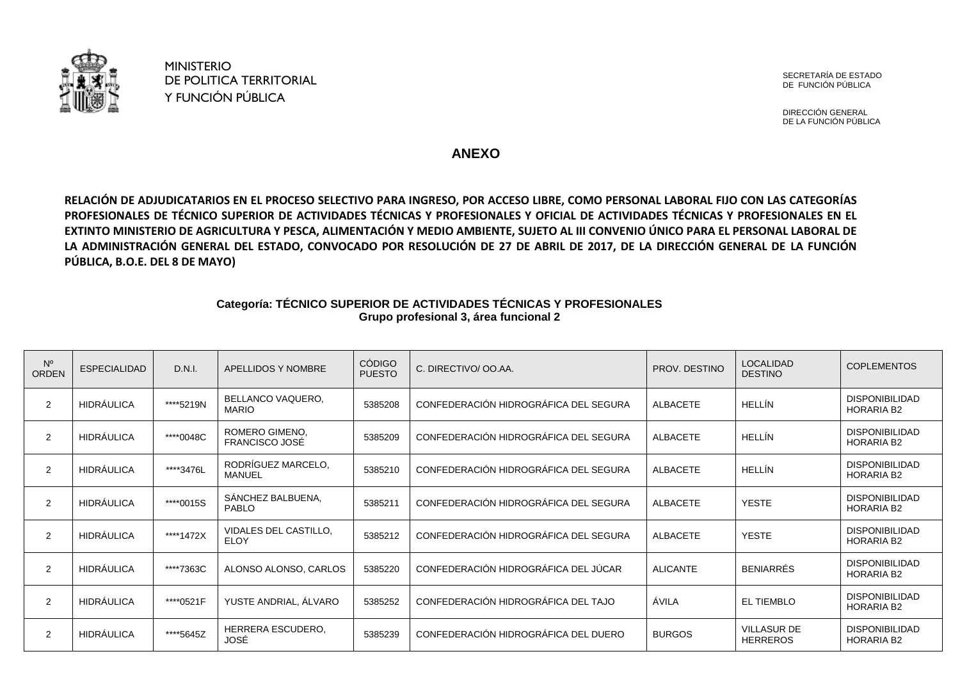

MINISTERIO DE POLITICA TERRITORIAL Y FUNCIÓN PÚBLICA

SECRETARÍA DE ESTADO DE FUNCIÓN PÚBLICA

DIRECCIÓN GENERAL DE LA FUNCIÓN PÚBLICA

**ANEXO** 

**RELACIÓN DE ADJUDICATARIOS EN EL PROCESO SELECTIVO PARA INGRESO, POR ACCESO LIBRE, COMO PERSONAL LABORAL FIJO CON LAS CATEGORÍAS PROFESIONALES DE TÉCNICO SUPERIOR DE ACTIVIDADES TÉCNICAS Y PROFESIONALES Y OFICIAL DE ACTIVIDADES TÉCNICAS Y PROFESIONALES EN EL EXTINTO MINISTERIO DE AGRICULTURA Y PESCA, ALIMENTACIÓN Y MEDIO AMBIENTE, SUJETO AL III CONVENIO ÚNICO PARA EL PERSONAL LABORAL DE LA ADMINISTRACIÓN GENERAL DEL ESTADO, CONVOCADO POR RESOLUCIÓN DE 27 DE ABRIL DE 2017, DE LA DIRECCIÓN GENERAL DE LA FUNCIÓN PÚBLICA, B.O.E. DEL 8 DE MAYO)**

## **Categoría: TÉCNICO SUPERIOR DE ACTIVIDADES TÉCNICAS Y PROFESIONALES Grupo profesional 3, área funcional 2**

| $N^{\circ}$<br><b>ORDEN</b> | <b>ESPECIALIDAD</b> | D.N.I.    | <b>APELLIDOS Y NOMBRE</b>            | <b>CÓDIGO</b><br><b>PUESTO</b> | C. DIRECTIVO/ OO.AA.                  | PROV. DESTINO   | <b>LOCALIDAD</b><br><b>DESTINO</b>    | <b>COPLEMENTOS</b>                         |
|-----------------------------|---------------------|-----------|--------------------------------------|--------------------------------|---------------------------------------|-----------------|---------------------------------------|--------------------------------------------|
| $\overline{2}$              | <b>HIDRÁULICA</b>   | ****5219N | BELLANCO VAQUERO,<br><b>MARIO</b>    | 5385208                        | CONFEDERACIÓN HIDROGRÁFICA DEL SEGURA | ALBACETE        | HELLÍN                                | <b>DISPONIBILIDAD</b><br><b>HORARIA B2</b> |
| $\overline{2}$              | <b>HIDRÁULICA</b>   | ****0048C | ROMERO GIMENO,<br>FRANCISCO JOSÉ     | 5385209                        | CONFEDERACIÓN HIDROGRÁFICA DEL SEGURA | <b>ALBACETE</b> | HELLÍN                                | <b>DISPONIBILIDAD</b><br><b>HORARIA B2</b> |
| $\overline{2}$              | <b>HIDRÁULICA</b>   | ****3476L | RODRÍGUEZ MARCELO,<br><b>MANUEL</b>  | 5385210                        | CONFEDERACIÓN HIDROGRÁFICA DEL SEGURA | <b>ALBACETE</b> | HELLÍN                                | DISPONIBILIDAD<br><b>HORARIA B2</b>        |
| 2                           | <b>HIDRÁULICA</b>   | ****0015S | SÁNCHEZ BALBUENA,<br><b>PABLO</b>    | 5385211                        | CONFEDERACIÓN HIDROGRÁFICA DEL SEGURA | <b>ALBACETE</b> | YESTE                                 | <b>DISPONIBILIDAD</b><br><b>HORARIA B2</b> |
| 2                           | <b>HIDRÁULICA</b>   | ****1472X | VIDALES DEL CASTILLO,<br><b>ELOY</b> | 5385212                        | CONFEDERACIÓN HIDROGRÁFICA DEL SEGURA | ALBACETE        | <b>YESTE</b>                          | <b>DISPONIBILIDAD</b><br><b>HORARIA B2</b> |
| $\overline{2}$              | <b>HIDRÁULICA</b>   | ****7363C | ALONSO ALONSO, CARLOS                | 5385220                        | CONFEDERACIÓN HIDROGRÁFICA DEL JÚCAR  | <b>ALICANTE</b> | <b>BENIARRÉS</b>                      | <b>DISPONIBILIDAD</b><br><b>HORARIA B2</b> |
| $\overline{2}$              | <b>HIDRÁULICA</b>   | ****0521F | YUSTE ANDRIAL, ÁLVARO                | 5385252                        | CONFEDERACIÓN HIDROGRÁFICA DEL TAJO   | ÁVILA           | <b>EL TIEMBLO</b>                     | <b>DISPONIBILIDAD</b><br><b>HORARIA B2</b> |
| $\overline{2}$              | <b>HIDRÁULICA</b>   | ****5645Z | HERRERA ESCUDERO,<br>JOSÉ            | 5385239                        | CONFEDERACIÓN HIDROGRÁFICA DEL DUERO  | <b>BURGOS</b>   | <b>VILLASUR DE</b><br><b>HERREROS</b> | DISPONIBILIDAD<br><b>HORARIA B2</b>        |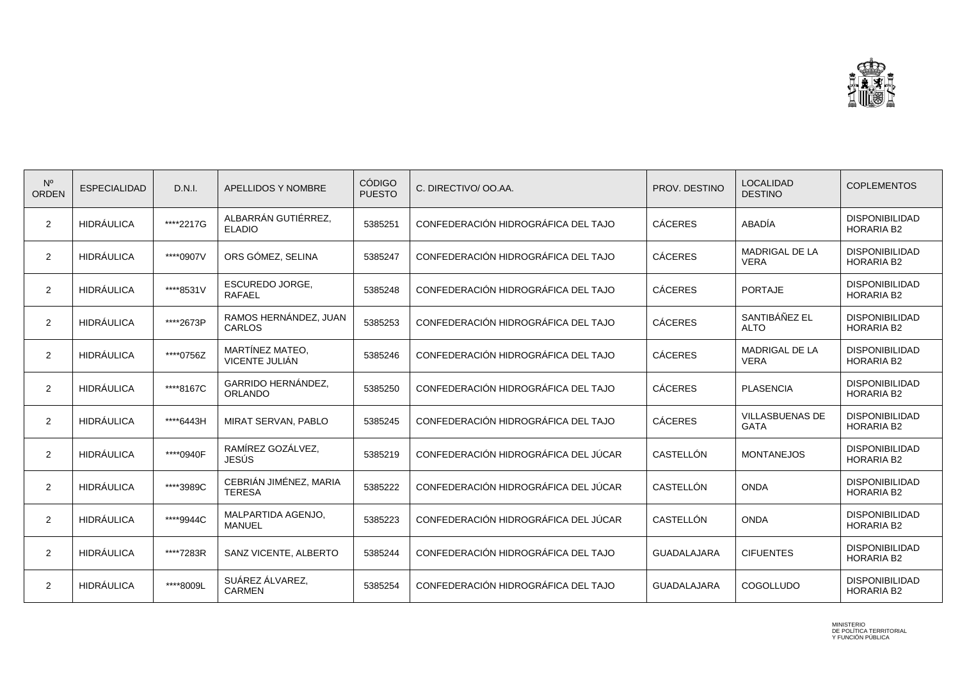

| $N^{\circ}$<br><b>ORDEN</b> | <b>ESPECIALIDAD</b> | D.N.I.    | APELLIDOS Y NOMBRE                      | <b>CÓDIGO</b><br><b>PUESTO</b> | C. DIRECTIVO/ OO.AA.                 | PROV. DESTINO      | <b>LOCALIDAD</b><br><b>DESTINO</b>    | <b>COPLEMENTOS</b>                         |
|-----------------------------|---------------------|-----------|-----------------------------------------|--------------------------------|--------------------------------------|--------------------|---------------------------------------|--------------------------------------------|
| 2                           | <b>HIDRÁULICA</b>   | ****2217G | ALBARRÁN GUTIÉRREZ,<br><b>ELADIO</b>    | 5385251                        | CONFEDERACIÓN HIDROGRÁFICA DEL TAJO  | <b>CÁCERES</b>     | ABADÍA                                | <b>DISPONIBILIDAD</b><br><b>HORARIA B2</b> |
| 2                           | <b>HIDRÁULICA</b>   | ****0907V | ORS GÓMEZ, SELINA                       | 5385247                        | CONFEDERACIÓN HIDROGRÁFICA DEL TAJO  | <b>CÁCERES</b>     | MADRIGAL DE LA<br><b>VERA</b>         | <b>DISPONIBILIDAD</b><br><b>HORARIA B2</b> |
| $\overline{2}$              | <b>HIDRÁULICA</b>   | ****8531V | <b>ESCUREDO JORGE,</b><br><b>RAFAEL</b> | 5385248                        | CONFEDERACIÓN HIDROGRÁFICA DEL TAJO  | <b>CÁCERES</b>     | <b>PORTAJE</b>                        | <b>DISPONIBILIDAD</b><br><b>HORARIA B2</b> |
| 2                           | <b>HIDRÁULICA</b>   | ****2673P | RAMOS HERNÁNDEZ, JUAN<br><b>CARLOS</b>  | 5385253                        | CONFEDERACIÓN HIDROGRÁFICA DEL TAJO  | <b>CÁCERES</b>     | SANTIBÁÑEZ EL<br><b>ALTO</b>          | <b>DISPONIBILIDAD</b><br><b>HORARIA B2</b> |
| 2                           | <b>HIDRÁULICA</b>   | ****0756Z | MARTÍNEZ MATEO,<br>VICENTE JULIÁN       | 5385246                        | CONFEDERACIÓN HIDROGRÁFICA DEL TAJO  | <b>CÁCERES</b>     | <b>MADRIGAL DE LA</b><br><b>VERA</b>  | <b>DISPONIBILIDAD</b><br><b>HORARIA B2</b> |
| 2                           | <b>HIDRÁULICA</b>   | ****8167C | GARRIDO HERNÁNDEZ,<br><b>ORLANDO</b>    | 5385250                        | CONFEDERACIÓN HIDROGRÁFICA DEL TAJO  | <b>CÁCERES</b>     | <b>PLASENCIA</b>                      | <b>DISPONIBILIDAD</b><br><b>HORARIA B2</b> |
| 2                           | <b>HIDRÁULICA</b>   | ****6443H | MIRAT SERVAN, PABLO                     | 5385245                        | CONFEDERACIÓN HIDROGRÁFICA DEL TAJO  | <b>CÁCERES</b>     | <b>VILLASBUENAS DE</b><br><b>GATA</b> | <b>DISPONIBILIDAD</b><br><b>HORARIA B2</b> |
| $\overline{2}$              | <b>HIDRÁULICA</b>   | ****0940F | RAMÍREZ GOZÁLVEZ,<br><b>JESÚS</b>       | 5385219                        | CONFEDERACIÓN HIDROGRÁFICA DEL JÚCAR | CASTELLÓN          | <b>MONTANEJOS</b>                     | <b>DISPONIBILIDAD</b><br><b>HORARIA B2</b> |
| 2                           | <b>HIDRÁULICA</b>   | ****3989C | CEBRIÁN JIMÉNEZ, MARIA<br><b>TERESA</b> | 5385222                        | CONFEDERACIÓN HIDROGRÁFICA DEL JÚCAR | CASTELLÓN          | <b>ONDA</b>                           | <b>DISPONIBILIDAD</b><br><b>HORARIA B2</b> |
| 2                           | <b>HIDRÁULICA</b>   | ****9944C | MALPARTIDA AGENJO,<br><b>MANUEL</b>     | 5385223                        | CONFEDERACIÓN HIDROGRÁFICA DEL JÚCAR | CASTELLÓN          | <b>ONDA</b>                           | <b>DISPONIBILIDAD</b><br><b>HORARIA B2</b> |
| 2                           | <b>HIDRÁULICA</b>   | ****7283R | SANZ VICENTE, ALBERTO                   | 5385244                        | CONFEDERACIÓN HIDROGRÁFICA DEL TAJO  | <b>GUADALAJARA</b> | <b>CIFUENTES</b>                      | <b>DISPONIBILIDAD</b><br><b>HORARIA B2</b> |
| 2                           | <b>HIDRÁULICA</b>   | ****8009L | SUÁREZ ÁLVAREZ,<br><b>CARMEN</b>        | 5385254                        | CONFEDERACIÓN HIDROGRÁFICA DEL TAJO  | <b>GUADALAJARA</b> | COGOLLUDO                             | <b>DISPONIBILIDAD</b><br><b>HORARIA B2</b> |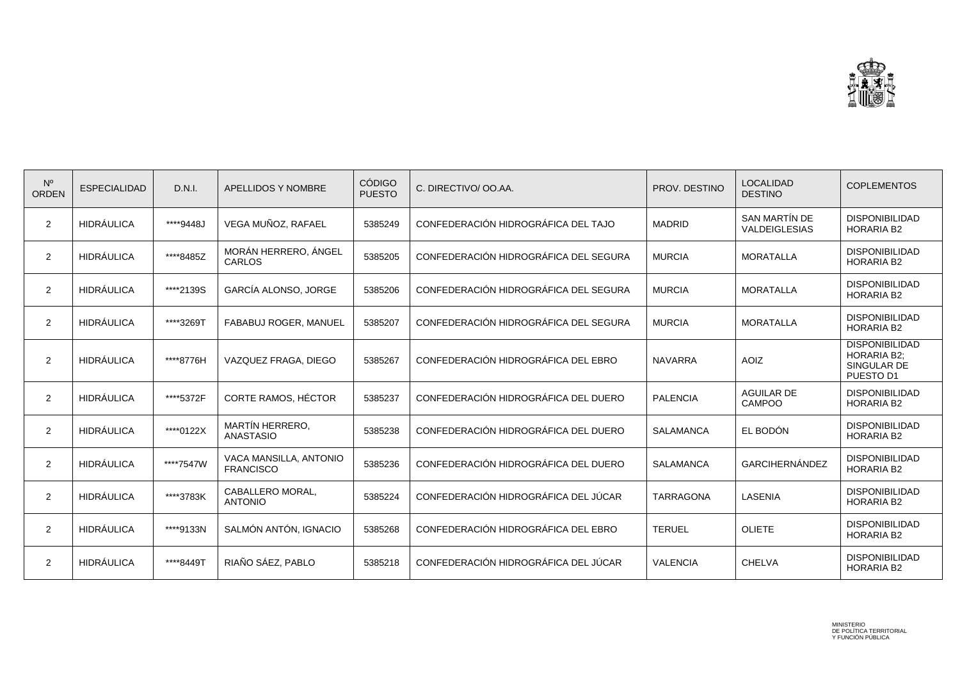

| $N^{\circ}$<br><b>ORDEN</b> | <b>ESPECIALIDAD</b> | D.N.I.    | APELLIDOS Y NOMBRE                         | <b>CÓDIGO</b><br><b>PUESTO</b> | C. DIRECTIVO/ OO.AA.                  | PROV. DESTINO    | <b>LOCALIDAD</b><br><b>DESTINO</b> | <b>COPLEMENTOS</b>                                                      |
|-----------------------------|---------------------|-----------|--------------------------------------------|--------------------------------|---------------------------------------|------------------|------------------------------------|-------------------------------------------------------------------------|
| 2                           | <b>HIDRÁULICA</b>   | ****9448J | VEGA MUÑOZ, RAFAEL                         | 5385249                        | CONFEDERACIÓN HIDROGRÁFICA DEL TAJO   | <b>MADRID</b>    | SAN MARTÍN DE<br>VALDEIGLESIAS     | <b>DISPONIBILIDAD</b><br><b>HORARIA B2</b>                              |
| 2                           | HIDRÁULICA          | ****8485Z | MORÁN HERRERO. ÁNGEL<br>CARLOS             | 5385205                        | CONFEDERACIÓN HIDROGRÁFICA DEL SEGURA | <b>MURCIA</b>    | <b>MORATALLA</b>                   | <b>DISPONIBILIDAD</b><br><b>HORARIA B2</b>                              |
| $\overline{2}$              | HIDRÁULICA          | ****2139S | GARCÍA ALONSO, JORGE                       | 5385206                        | CONFEDERACIÓN HIDROGRÁFICA DEL SEGURA | <b>MURCIA</b>    | <b>MORATALLA</b>                   | <b>DISPONIBILIDAD</b><br><b>HORARIA B2</b>                              |
| 2                           | <b>HIDRÁULICA</b>   | ****3269T | <b>FABABUJ ROGER, MANUEL</b>               | 5385207                        | CONFEDERACIÓN HIDROGRÁFICA DEL SEGURA | <b>MURCIA</b>    | <b>MORATALLA</b>                   | <b>DISPONIBILIDAD</b><br><b>HORARIA B2</b>                              |
| 2                           | <b>HIDRÁULICA</b>   | ****8776H | VAZQUEZ FRAGA, DIEGO                       | 5385267                        | CONFEDERACIÓN HIDROGRÁFICA DEL EBRO   | <b>NAVARRA</b>   | <b>AOIZ</b>                        | <b>DISPONIBILIDAD</b><br><b>HORARIA B2:</b><br>SINGULAR DE<br>PUESTO D1 |
| 2                           | <b>HIDRÁULICA</b>   | ****5372F | CORTE RAMOS, HÉCTOR                        | 5385237                        | CONFEDERACIÓN HIDROGRÁFICA DEL DUERO  | <b>PALENCIA</b>  | <b>AGUILAR DE</b><br>CAMPOO        | <b>DISPONIBILIDAD</b><br><b>HORARIA B2</b>                              |
| $\overline{2}$              | <b>HIDRÁULICA</b>   | ****0122X | <b>MARTÍN HERRERO,</b><br><b>ANASTASIO</b> | 5385238                        | CONFEDERACIÓN HIDROGRÁFICA DEL DUERO  | <b>SALAMANCA</b> | EL BODÓN                           | <b>DISPONIBILIDAD</b><br><b>HORARIA B2</b>                              |
| 2                           | <b>HIDRÁULICA</b>   | ****7547W | VACA MANSILLA, ANTONIO<br><b>FRANCISCO</b> | 5385236                        | CONFEDERACIÓN HIDROGRÁFICA DEL DUERO  | <b>SALAMANCA</b> | <b>GARCIHERNÁNDEZ</b>              | <b>DISPONIBILIDAD</b><br><b>HORARIA B2</b>                              |
| 2                           | <b>HIDRÁULICA</b>   | ****3783K | CABALLERO MORAL,<br><b>ANTONIO</b>         | 5385224                        | CONFEDERACIÓN HIDROGRÁFICA DEL JÚCAR  | <b>TARRAGONA</b> | LASENIA                            | <b>DISPONIBILIDAD</b><br><b>HORARIA B2</b>                              |
| 2                           | <b>HIDRÁULICA</b>   | ****9133N | SALMÓN ANTÓN, IGNACIO                      | 5385268                        | CONFEDERACIÓN HIDROGRÁFICA DEL EBRO   | <b>TERUEL</b>    | <b>OLIETE</b>                      | <b>DISPONIBILIDAD</b><br><b>HORARIA B2</b>                              |
| 2                           | <b>HIDRÁULICA</b>   | ****8449T | RIAÑO SÁEZ, PABLO                          | 5385218                        | CONFEDERACIÓN HIDROGRÁFICA DEL JÚCAR  | <b>VALENCIA</b>  | <b>CHELVA</b>                      | <b>DISPONIBILIDAD</b><br><b>HORARIA B2</b>                              |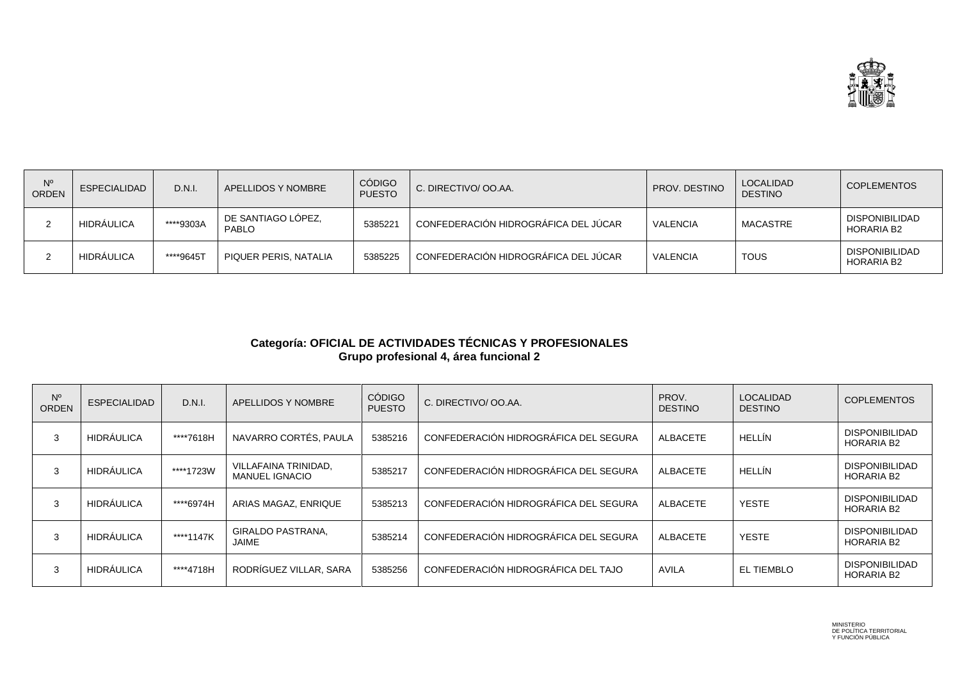

| N°<br><b>ORDEN</b> | <b>ESPECIALIDAD</b> | D.N.I.    | APELLIDOS Y NOMBRE                 | <b>CÓDIGO</b><br><b>PUESTO</b> | C. DIRECTIVO/ OO.AA.                 | PROV. DESTINO   | <b>LOCALIDAD</b><br><b>DESTINO</b> | l COPLEMENTOS                              |
|--------------------|---------------------|-----------|------------------------------------|--------------------------------|--------------------------------------|-----------------|------------------------------------|--------------------------------------------|
|                    | HIDRAULICA          | ****9303A | DE SANTIAGO LÓPEZ,<br><b>PABLO</b> | 5385221                        | CONFEDERACIÓN HIDROGRÁFICA DEL JÚCAR | VALENCIA        | MACASTRE                           | <b>DISPONIBILIDAD</b><br><b>HORARIA B2</b> |
|                    | <b>HIDRAULICA</b>   | ****9645T | PIQUER PERIS, NATALIA              | 5385225                        | CONFEDERACIÓN HIDROGRÁFICA DEL JÚCAR | <b>VALENCIA</b> | <b>TOUS</b>                        | <b>DISPONIBILIDAD</b><br><b>HORARIA B2</b> |

## **Categoría: OFICIAL DE ACTIVIDADES TÉCNICAS Y PROFESIONALES Grupo profesional 4, área funcional 2**

| $N^{\circ}$<br><b>ORDEN</b> | <b>ESPECIALIDAD</b> | D.N.I.    | APELLIDOS Y NOMBRE                            | <b>CÓDIGO</b><br><b>PUESTO</b> | C. DIRECTIVO/ OO.AA.                  | PROV.<br><b>DESTINO</b> | <b>LOCALIDAD</b><br><b>DESTINO</b> | <b>COPLEMENTOS</b>                         |
|-----------------------------|---------------------|-----------|-----------------------------------------------|--------------------------------|---------------------------------------|-------------------------|------------------------------------|--------------------------------------------|
| 3                           | <b>HIDRÁULICA</b>   | ****7618H | NAVARRO CORTÉS, PAULA                         | 5385216                        | CONFEDERACIÓN HIDROGRÁFICA DEL SEGURA | ALBACETE                | HELLÍN                             | <b>DISPONIBILIDAD</b><br><b>HORARIA B2</b> |
| 3                           | <b>HIDRÁULICA</b>   | ****1723W | VILLAFAINA TRINIDAD,<br><b>MANUEL IGNACIO</b> | 5385217                        | CONFEDERACIÓN HIDROGRÁFICA DEL SEGURA | ALBACETE                | HELLÍN                             | <b>DISPONIBILIDAD</b><br><b>HORARIA B2</b> |
| 3                           | <b>HIDRÁULICA</b>   | ****6974H | ARIAS MAGAZ, ENRIQUE                          | 5385213                        | CONFEDERACIÓN HIDROGRÁFICA DEL SEGURA | ALBACETE                | YESTE                              | <b>DISPONIBILIDAD</b><br><b>HORARIA B2</b> |
| 3                           | <b>HIDRÁULICA</b>   | ****1147K | GIRALDO PASTRANA,<br>JAIME                    | 5385214                        | CONFEDERACIÓN HIDROGRÁFICA DEL SEGURA | ALBACETE                | <b>YESTE</b>                       | <b>DISPONIBILIDAD</b><br><b>HORARIA B2</b> |
| 3                           | <b>HIDRÁULICA</b>   | ****4718H | RODRÍGUEZ VILLAR, SARA                        | 5385256                        | CONFEDERACIÓN HIDROGRÁFICA DEL TAJO   | AVILA                   | EL TIEMBLO                         | <b>DISPONIBILIDAD</b><br><b>HORARIA B2</b> |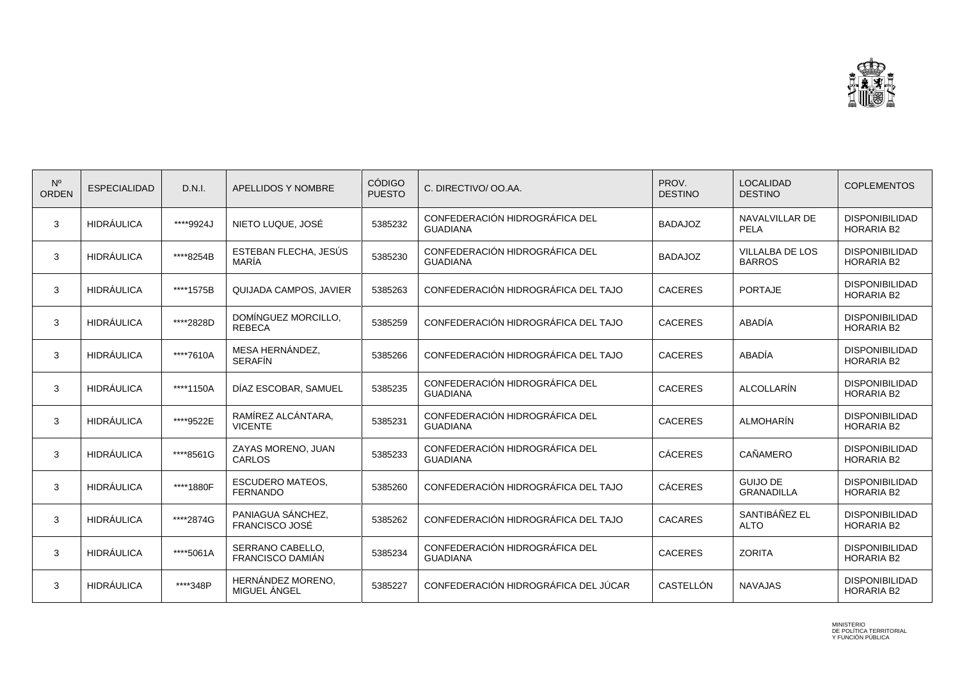

| $N^{\circ}$<br><b>ORDEN</b> | <b>ESPECIALIDAD</b> | D.N.I.    | APELLIDOS Y NOMBRE                          | <b>CÓDIGO</b><br><b>PUESTO</b> | C. DIRECTIVO/ OO.AA.                              | PROV.<br><b>DESTINO</b> | <b>LOCALIDAD</b><br><b>DESTINO</b>      | <b>COPLEMENTOS</b>                         |
|-----------------------------|---------------------|-----------|---------------------------------------------|--------------------------------|---------------------------------------------------|-------------------------|-----------------------------------------|--------------------------------------------|
| 3                           | <b>HIDRÁULICA</b>   | ****9924J | NIETO LUQUE, JOSÉ                           | 5385232                        | CONFEDERACIÓN HIDROGRÁFICA DEL<br><b>GUADIANA</b> | <b>BADAJOZ</b>          | NAVALVILLAR DE<br>PELA                  | <b>DISPONIBILIDAD</b><br><b>HORARIA B2</b> |
| 3                           | <b>HIDRÁULICA</b>   | ****8254B | ESTEBAN FLECHA, JESÚS<br>MARÍA              | 5385230                        | CONFEDERACIÓN HIDROGRÁFICA DEL<br><b>GUADIANA</b> | <b>BADAJOZ</b>          | <b>VILLALBA DE LOS</b><br><b>BARROS</b> | <b>DISPONIBILIDAD</b><br><b>HORARIA B2</b> |
| 3                           | <b>HIDRÁULICA</b>   | ****1575B | QUIJADA CAMPOS, JAVIER                      | 5385263                        | CONFEDERACIÓN HIDROGRÁFICA DEL TAJO               | <b>CACERES</b>          | <b>PORTAJE</b>                          | <b>DISPONIBILIDAD</b><br><b>HORARIA B2</b> |
| 3                           | <b>HIDRÁULICA</b>   | ****2828D | DOMÍNGUEZ MORCILLO,<br><b>REBECA</b>        | 5385259                        | CONFEDERACIÓN HIDROGRÁFICA DEL TAJO               | <b>CACERES</b>          | ABADÍA                                  | <b>DISPONIBILIDAD</b><br><b>HORARIA B2</b> |
| 3                           | <b>HIDRÁULICA</b>   | ****7610A | MESA HERNÁNDEZ.<br><b>SERAFÍN</b>           | 5385266                        | CONFEDERACIÓN HIDROGRÁFICA DEL TAJO               | <b>CACERES</b>          | ABADÍA                                  | <b>DISPONIBILIDAD</b><br><b>HORARIA B2</b> |
| 3                           | <b>HIDRÁULICA</b>   | ****1150A | DÍAZ ESCOBAR, SAMUEL                        | 5385235                        | CONFEDERACIÓN HIDROGRÁFICA DEL<br><b>GUADIANA</b> | <b>CACERES</b>          | ALCOLLARÍN                              | <b>DISPONIBILIDAD</b><br><b>HORARIA B2</b> |
| 3                           | <b>HIDRÁULICA</b>   | ****9522E | RAMÍREZ ALCÁNTARA,<br><b>VICENTE</b>        | 5385231                        | CONFEDERACIÓN HIDROGRÁFICA DEL<br><b>GUADIANA</b> | <b>CACERES</b>          | <b>ALMOHARÍN</b>                        | <b>DISPONIBILIDAD</b><br><b>HORARIA B2</b> |
| 3                           | <b>HIDRÁULICA</b>   | ****8561G | ZAYAS MORENO, JUAN<br>CARLOS                | 5385233                        | CONFEDERACIÓN HIDROGRÁFICA DEL<br><b>GUADIANA</b> | <b>CÁCERES</b>          | CAÑAMERO                                | <b>DISPONIBILIDAD</b><br><b>HORARIA B2</b> |
| 3                           | <b>HIDRÁULICA</b>   | ****1880F | <b>ESCUDERO MATEOS,</b><br><b>FERNANDO</b>  | 5385260                        | CONFEDERACIÓN HIDROGRÁFICA DEL TAJO               | <b>CÁCERES</b>          | <b>GUIJO DE</b><br><b>GRANADILLA</b>    | <b>DISPONIBILIDAD</b><br><b>HORARIA B2</b> |
| 3                           | <b>HIDRÁULICA</b>   | ****2874G | PANIAGUA SÁNCHEZ,<br><b>FRANCISCO JOSÉ</b>  | 5385262                        | CONFEDERACIÓN HIDROGRÁFICA DEL TAJO               | <b>CACARES</b>          | SANTIBÁÑEZ EL<br><b>ALTO</b>            | <b>DISPONIBILIDAD</b><br><b>HORARIA B2</b> |
| 3                           | <b>HIDRÁULICA</b>   | ****5061A | SERRANO CABELLO,<br><b>FRANCISCO DAMIÁN</b> | 5385234                        | CONFEDERACIÓN HIDROGRÁFICA DEL<br><b>GUADIANA</b> | <b>CACERES</b>          | <b>ZORITA</b>                           | <b>DISPONIBILIDAD</b><br><b>HORARIA B2</b> |
| 3                           | <b>HIDRÁULICA</b>   | ****348P  | HERNÁNDEZ MORENO,<br>MIGUEL ÁNGEL           | 5385227                        | CONFEDERACIÓN HIDROGRÁFICA DEL JÚCAR              | CASTELLÓN               | <b>NAVAJAS</b>                          | <b>DISPONIBILIDAD</b><br><b>HORARIA B2</b> |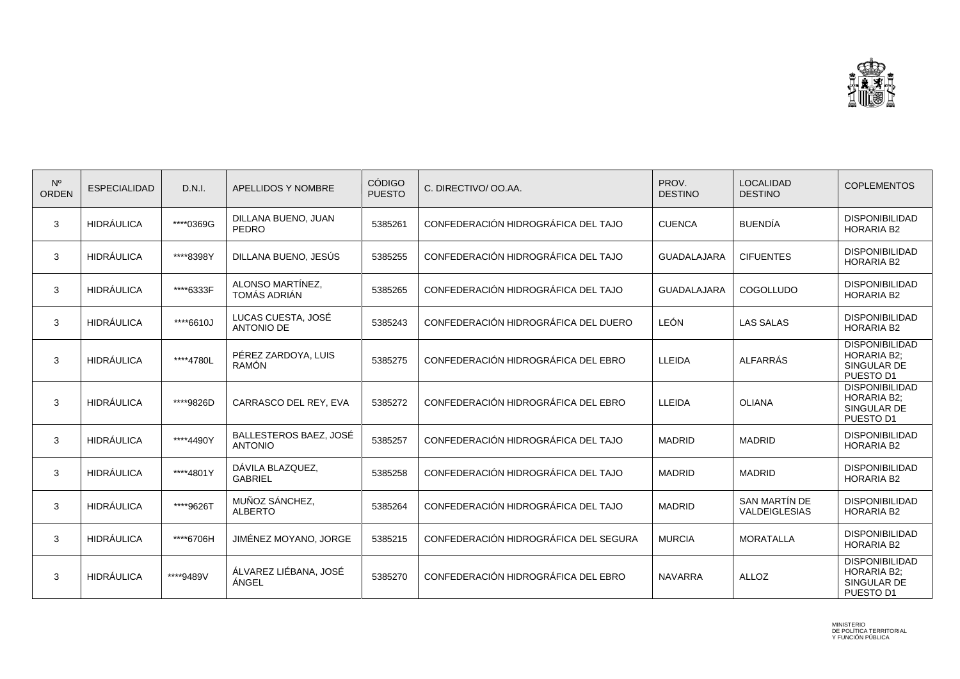

| $N^{\circ}$<br><b>ORDEN</b> | <b>ESPECIALIDAD</b> | D.N.I.    | APELLIDOS Y NOMBRE                       | <b>CÓDIGO</b><br><b>PUESTO</b> | C. DIRECTIVO/ OO.AA.                  | PROV.<br><b>DESTINO</b> | <b>LOCALIDAD</b><br><b>DESTINO</b> | <b>COPLEMENTOS</b>                                                      |
|-----------------------------|---------------------|-----------|------------------------------------------|--------------------------------|---------------------------------------|-------------------------|------------------------------------|-------------------------------------------------------------------------|
| 3                           | <b>HIDRÁULICA</b>   | ****0369G | DILLANA BUENO, JUAN<br><b>PEDRO</b>      | 5385261                        | CONFEDERACIÓN HIDROGRÁFICA DEL TAJO   | <b>CUENCA</b>           | <b>BUENDIA</b>                     | <b>DISPONIBILIDAD</b><br><b>HORARIA B2</b>                              |
| 3                           | <b>HIDRÁULICA</b>   | ****8398Y | DILLANA BUENO, JESÚS                     | 5385255                        | CONFEDERACIÓN HIDROGRÁFICA DEL TAJO   | <b>GUADALAJARA</b>      | <b>CIFUENTES</b>                   | <b>DISPONIBILIDAD</b><br><b>HORARIA B2</b>                              |
| 3                           | <b>HIDRÁULICA</b>   | ****6333F | ALONSO MARTÍNEZ,<br>TOMÁS ADRIÁN         | 5385265                        | CONFEDERACIÓN HIDROGRÁFICA DEL TAJO   | <b>GUADALAJARA</b>      | COGOLLUDO                          | <b>DISPONIBILIDAD</b><br><b>HORARIA B2</b>                              |
| 3                           | <b>HIDRÁULICA</b>   | ****6610J | LUCAS CUESTA, JOSÉ<br><b>ANTONIO DE</b>  | 5385243                        | CONFEDERACIÓN HIDROGRÁFICA DEL DUERO  | <b>LEÓN</b>             | <b>LAS SALAS</b>                   | <b>DISPONIBILIDAD</b><br><b>HORARIA B2</b>                              |
| 3                           | <b>HIDRÁULICA</b>   | ****4780L | PÉREZ ZARDOYA, LUIS<br><b>RAMÓN</b>      | 5385275                        | CONFEDERACIÓN HIDROGRÁFICA DEL EBRO   | LLEIDA                  | <b>ALFARRÁS</b>                    | <b>DISPONIBILIDAD</b><br><b>HORARIA B2;</b><br>SINGULAR DE<br>PUESTO D1 |
| 3                           | <b>HIDRÁULICA</b>   | ****9826D | CARRASCO DEL REY, EVA                    | 5385272                        | CONFEDERACIÓN HIDROGRÁFICA DEL EBRO   | LLEIDA                  | <b>OLIANA</b>                      | <b>DISPONIBILIDAD</b><br><b>HORARIA B2:</b><br>SINGULAR DE<br>PUESTO D1 |
| 3                           | <b>HIDRÁULICA</b>   | ****4490Y | BALLESTEROS BAEZ, JOSÉ<br><b>ANTONIO</b> | 5385257                        | CONFEDERACIÓN HIDROGRÁFICA DEL TAJO   | <b>MADRID</b>           | <b>MADRID</b>                      | <b>DISPONIBILIDAD</b><br><b>HORARIA B2</b>                              |
| 3                           | <b>HIDRÁULICA</b>   | ****4801Y | DÁVILA BLAZQUEZ,<br><b>GABRIEL</b>       | 5385258                        | CONFEDERACIÓN HIDROGRÁFICA DEL TAJO   | <b>MADRID</b>           | <b>MADRID</b>                      | <b>DISPONIBILIDAD</b><br><b>HORARIA B2</b>                              |
| 3                           | <b>HIDRÁULICA</b>   | ****9626T | MUÑOZ SÁNCHEZ,<br><b>ALBERTO</b>         | 5385264                        | CONFEDERACIÓN HIDROGRÁFICA DEL TAJO   | <b>MADRID</b>           | SAN MARTÍN DE<br>VALDEIGLESIAS     | <b>DISPONIBILIDAD</b><br><b>HORARIA B2</b>                              |
| 3                           | <b>HIDRÁULICA</b>   | ****6706H | JIMÉNEZ MOYANO, JORGE                    | 5385215                        | CONFEDERACIÓN HIDROGRÁFICA DEL SEGURA | <b>MURCIA</b>           | <b>MORATALLA</b>                   | <b>DISPONIBILIDAD</b><br><b>HORARIA B2</b>                              |
| 3                           | <b>HIDRÁULICA</b>   | ****9489V | ÁLVAREZ LIÉBANA, JOSÉ<br>ÁNGEL           | 5385270                        | CONFEDERACIÓN HIDROGRÁFICA DEL EBRO   | <b>NAVARRA</b>          | <b>ALLOZ</b>                       | <b>DISPONIBILIDAD</b><br><b>HORARIA B2:</b><br>SINGULAR DE<br>PUESTO D1 |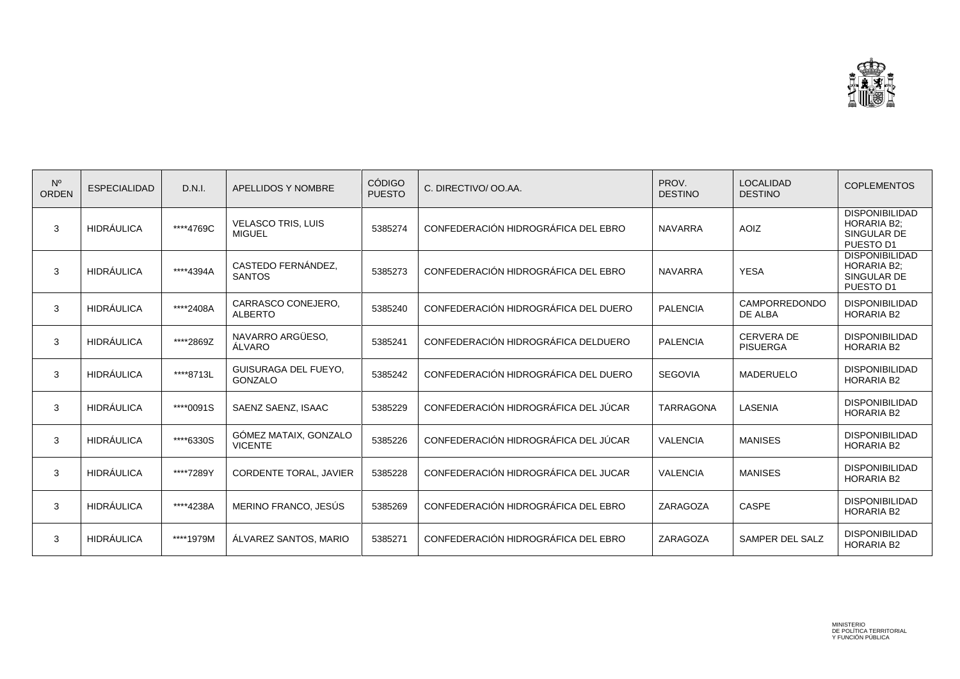

| $N^{\circ}$<br>ORDEN | <b>ESPECIALIDAD</b> | D.N.I.    | <b>APELLIDOS Y NOMBRE</b>                     | <b>CÓDIGO</b><br><b>PUESTO</b> | C. DIRECTIVO/ OO.AA.                 | PROV.<br><b>DESTINO</b> | <b>LOCALIDAD</b><br><b>DESTINO</b>   | <b>COPLEMENTOS</b>                                                      |
|----------------------|---------------------|-----------|-----------------------------------------------|--------------------------------|--------------------------------------|-------------------------|--------------------------------------|-------------------------------------------------------------------------|
| 3                    | <b>HIDRÁULICA</b>   | ****4769C | <b>VELASCO TRIS, LUIS</b><br><b>MIGUEL</b>    | 5385274                        | CONFEDERACIÓN HIDROGRÁFICA DEL EBRO  | <b>NAVARRA</b>          | <b>AOIZ</b>                          | <b>DISPONIBILIDAD</b><br><b>HORARIA B2:</b><br>SINGULAR DE<br>PUESTO D1 |
| 3                    | HIDRÁULICA          | ****4394A | CASTEDO FERNÁNDEZ.<br><b>SANTOS</b>           | 5385273                        | CONFEDERACIÓN HIDROGRÁFICA DEL EBRO  | <b>NAVARRA</b>          | <b>YESA</b>                          | <b>DISPONIBILIDAD</b><br><b>HORARIA B2:</b><br>SINGULAR DE<br>PUESTO D1 |
| 3                    | <b>HIDRÁULICA</b>   | ****2408A | CARRASCO CONEJERO,<br><b>ALBERTO</b>          | 5385240                        | CONFEDERACIÓN HIDROGRÁFICA DEL DUERO | <b>PALENCIA</b>         | CAMPORREDONDO<br>DE ALBA             | <b>DISPONIBILIDAD</b><br><b>HORARIA B2</b>                              |
| 3                    | <b>HIDRÁULICA</b>   | ****2869Z | NAVARRO ARGÜESO,<br>ÁLVARO                    | 5385241                        | CONFEDERACIÓN HIDROGRÁFICA DELDUERO  | <b>PALENCIA</b>         | <b>CERVERA DE</b><br><b>PISUERGA</b> | <b>DISPONIBILIDAD</b><br><b>HORARIA B2</b>                              |
| 3                    | <b>HIDRÁULICA</b>   | ****8713L | <b>GUISURAGA DEL FUEYO,</b><br><b>GONZALO</b> | 5385242                        | CONFEDERACIÓN HIDROGRÁFICA DEL DUERO | <b>SEGOVIA</b>          | MADERUELO                            | <b>DISPONIBILIDAD</b><br><b>HORARIA B2</b>                              |
| 3                    | <b>HIDRÁULICA</b>   | ****0091S | SAENZ SAENZ, ISAAC                            | 5385229                        | CONFEDERACIÓN HIDROGRÁFICA DEL JÚCAR | <b>TARRAGONA</b>        | LASENIA                              | <b>DISPONIBILIDAD</b><br><b>HORARIA B2</b>                              |
| 3                    | HIDRÁULICA          | ****6330S | GÓMEZ MATAIX, GONZALO<br><b>VICENTE</b>       | 5385226                        | CONFEDERACIÓN HIDROGRÁFICA DEL JÚCAR | <b>VALENCIA</b>         | <b>MANISES</b>                       | <b>DISPONIBILIDAD</b><br><b>HORARIA B2</b>                              |
| 3                    | <b>HIDRÁULICA</b>   | ****7289Y | <b>CORDENTE TORAL, JAVIER</b>                 | 5385228                        | CONFEDERACIÓN HIDROGRÁFICA DEL JUCAR | <b>VALENCIA</b>         | <b>MANISES</b>                       | <b>DISPONIBILIDAD</b><br><b>HORARIA B2</b>                              |
| 3                    | <b>HIDRÁULICA</b>   | ****4238A | MERINO FRANCO, JESÚS                          | 5385269                        | CONFEDERACIÓN HIDROGRÁFICA DEL EBRO  | ZARAGOZA                | <b>CASPE</b>                         | <b>DISPONIBILIDAD</b><br><b>HORARIA B2</b>                              |
| 3                    | <b>HIDRÁULICA</b>   | ****1979M | ÁLVAREZ SANTOS, MARIO                         | 5385271                        | CONFEDERACIÓN HIDROGRÁFICA DEL EBRO  | ZARAGOZA                | SAMPER DEL SALZ                      | <b>DISPONIBILIDAD</b><br><b>HORARIA B2</b>                              |